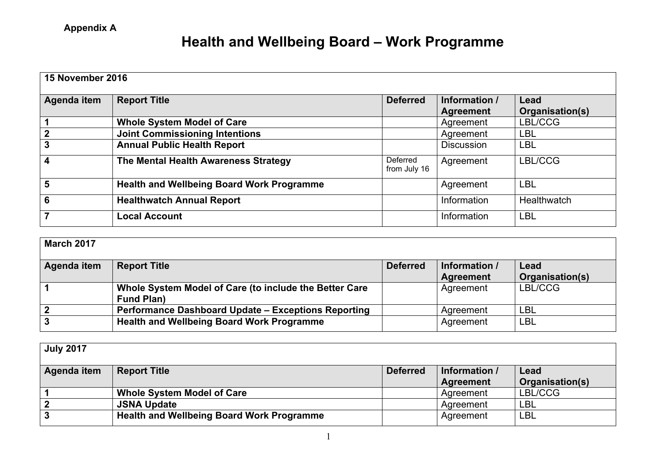## **Health and Wellbeing Board – Work Programme**

| <b>15 November 2016</b> |                                                  |                          |                                   |                         |  |
|-------------------------|--------------------------------------------------|--------------------------|-----------------------------------|-------------------------|--|
| Agenda item             | <b>Report Title</b>                              | <b>Deferred</b>          | Information /<br><b>Agreement</b> | Lead<br>Organisation(s) |  |
|                         | <b>Whole System Model of Care</b>                |                          | Agreement                         | LBL/CCG                 |  |
| $\mathbf{2}$            | <b>Joint Commissioning Intentions</b>            |                          | Agreement                         | <b>LBL</b>              |  |
| 3                       | <b>Annual Public Health Report</b>               |                          | <b>Discussion</b>                 | LBL                     |  |
| 4                       | The Mental Health Awareness Strategy             | Deferred<br>from July 16 | Agreement                         | LBL/CCG                 |  |
| 5                       | <b>Health and Wellbeing Board Work Programme</b> |                          | Agreement                         | <b>LBL</b>              |  |
| 6                       | <b>Healthwatch Annual Report</b>                 |                          | Information                       | Healthwatch             |  |
|                         | <b>Local Account</b>                             |                          | Information                       | <b>LBL</b>              |  |

| <b>March 2017</b> |                                                        |                 |                            |                         |
|-------------------|--------------------------------------------------------|-----------------|----------------------------|-------------------------|
| Agenda item       | <b>Report Title</b>                                    | <b>Deferred</b> | Information /<br>Agreement | Lead<br>Organisation(s) |
|                   | Whole System Model of Care (to include the Better Care |                 | Agreement                  | LBL/CCG                 |
|                   | <b>Fund Plan)</b>                                      |                 |                            |                         |
|                   | Performance Dashboard Update - Exceptions Reporting    |                 | Agreement                  | <b>LBL</b>              |
|                   | <b>Health and Wellbeing Board Work Programme</b>       |                 | Agreement                  | <b>LBL</b>              |

| <b>July 2017</b> |                                                  |                 |                            |                         |
|------------------|--------------------------------------------------|-----------------|----------------------------|-------------------------|
| Agenda item      | <b>Report Title</b>                              | <b>Deferred</b> | Information /<br>Agreement | Lead<br>Organisation(s) |
|                  | <b>Whole System Model of Care</b>                |                 | Agreement                  | LBL/CCG                 |
|                  | <b>JSNA Update</b>                               |                 | Agreement                  | <b>LBL</b>              |
|                  | <b>Health and Wellbeing Board Work Programme</b> |                 | Agreement                  | <b>LBL</b>              |